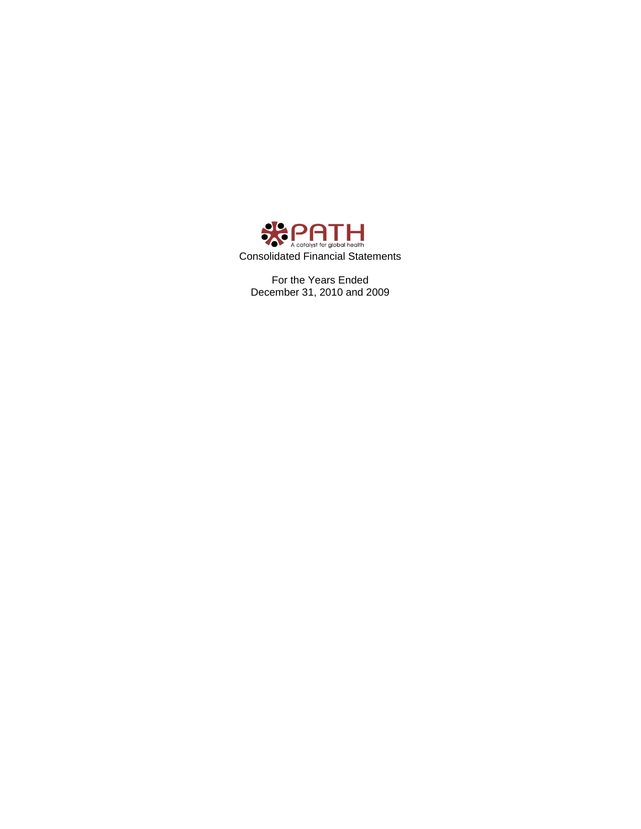

For the Years Ended December 31, 2010 and 2009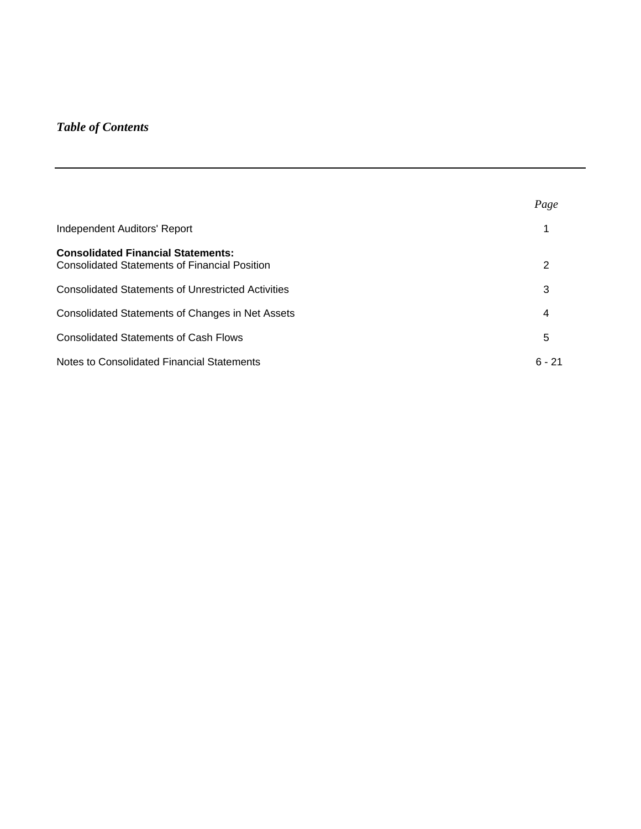# *Table of Contents*

|                                                                                                   | Page     |
|---------------------------------------------------------------------------------------------------|----------|
| Independent Auditors' Report                                                                      |          |
| <b>Consolidated Financial Statements:</b><br><b>Consolidated Statements of Financial Position</b> | 2        |
| <b>Consolidated Statements of Unrestricted Activities</b>                                         | 3        |
| Consolidated Statements of Changes in Net Assets                                                  | 4        |
| <b>Consolidated Statements of Cash Flows</b>                                                      | 5        |
| Notes to Consolidated Financial Statements                                                        | $6 - 21$ |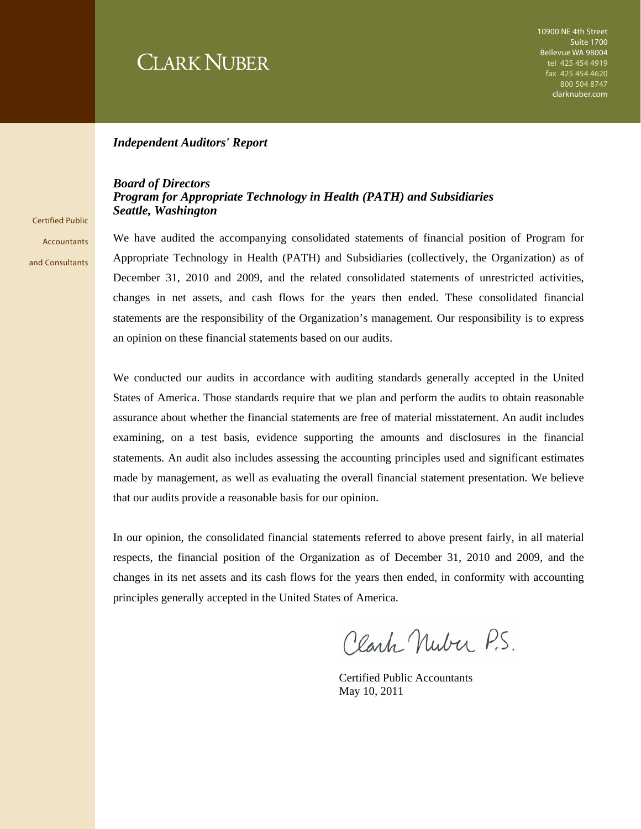# **CLARK NUBER**

#### *Independent Auditors' Report*

#### *Board of Directors Program for Appropriate Technology in Health (PATH) and Subsidiaries Seattle, Washington*

Certified Public **Accountants** and Consultants

We have audited the accompanying consolidated statements of financial position of Program for Appropriate Technology in Health (PATH) and Subsidiaries (collectively, the Organization) as of December 31, 2010 and 2009, and the related consolidated statements of unrestricted activities, changes in net assets, and cash flows for the years then ended. These consolidated financial statements are the responsibility of the Organization's management. Our responsibility is to express an opinion on these financial statements based on our audits.

We conducted our audits in accordance with auditing standards generally accepted in the United States of America. Those standards require that we plan and perform the audits to obtain reasonable assurance about whether the financial statements are free of material misstatement. An audit includes examining, on a test basis, evidence supporting the amounts and disclosures in the financial statements. An audit also includes assessing the accounting principles used and significant estimates made by management, as well as evaluating the overall financial statement presentation. We believe that our audits provide a reasonable basis for our opinion.

In our opinion, the consolidated financial statements referred to above present fairly, in all material respects, the financial position of the Organization as of December 31, 2010 and 2009, and the changes in its net assets and its cash flows for the years then ended, in conformity with accounting principles generally accepted in the United States of America.

Clark Nuber P.S.

Certified Public Accountants May 10, 2011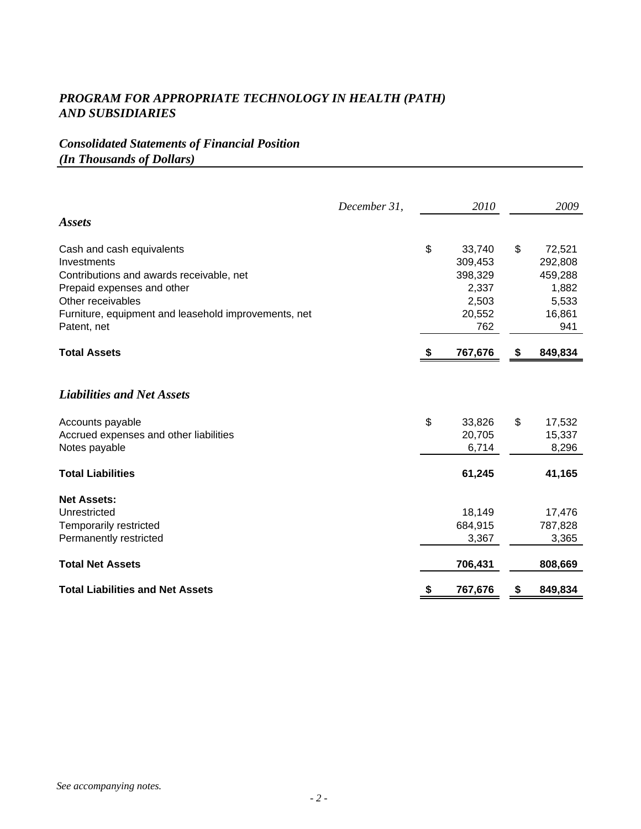# *Consolidated Statements of Financial Position (In Thousands of Dollars)*

|                                                      | December 31, | 2010          |    | 2009    |
|------------------------------------------------------|--------------|---------------|----|---------|
| <b>Assets</b>                                        |              |               |    |         |
| Cash and cash equivalents                            |              | \$<br>33,740  | \$ | 72,521  |
| Investments                                          |              | 309,453       |    | 292,808 |
| Contributions and awards receivable, net             |              | 398,329       |    | 459,288 |
| Prepaid expenses and other                           |              | 2,337         |    | 1,882   |
| Other receivables                                    |              | 2,503         |    | 5,533   |
| Furniture, equipment and leasehold improvements, net |              | 20,552        |    | 16,861  |
| Patent, net                                          |              | 762           |    | 941     |
| <b>Total Assets</b>                                  |              | \$<br>767,676 | \$ | 849,834 |
| <b>Liabilities and Net Assets</b>                    |              |               |    |         |
| Accounts payable                                     |              | \$<br>33,826  | \$ | 17,532  |
| Accrued expenses and other liabilities               |              | 20,705        |    | 15,337  |
| Notes payable                                        |              | 6,714         |    | 8,296   |
| <b>Total Liabilities</b>                             |              | 61,245        |    | 41,165  |
| <b>Net Assets:</b>                                   |              |               |    |         |
| Unrestricted                                         |              | 18,149        |    | 17,476  |
| Temporarily restricted                               |              | 684,915       |    | 787,828 |
| Permanently restricted                               |              | 3,367         |    | 3,365   |
| <b>Total Net Assets</b>                              |              | 706,431       |    | 808,669 |
| <b>Total Liabilities and Net Assets</b>              |              | \$<br>767,676 | S  | 849,834 |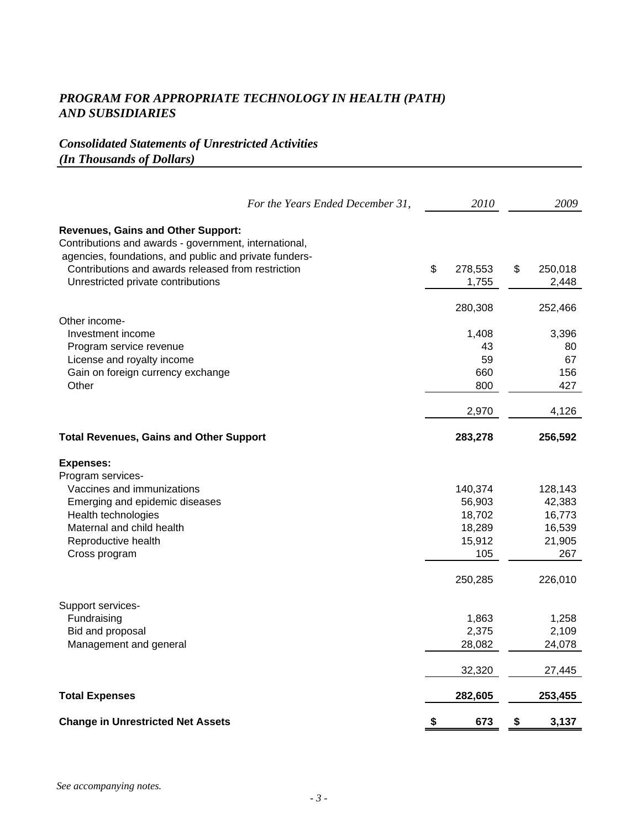# *Consolidated Statements of Unrestricted Activities (In Thousands of Dollars)*

|                                                                                                                                                              | For the Years Ended December 31, | 2010          | 2009          |
|--------------------------------------------------------------------------------------------------------------------------------------------------------------|----------------------------------|---------------|---------------|
| <b>Revenues, Gains and Other Support:</b><br>Contributions and awards - government, international,<br>agencies, foundations, and public and private funders- |                                  |               |               |
| Contributions and awards released from restriction                                                                                                           |                                  | \$<br>278,553 | \$<br>250,018 |
| Unrestricted private contributions                                                                                                                           |                                  | 1,755         | 2,448         |
| Other income-                                                                                                                                                |                                  | 280,308       | 252,466       |
| Investment income                                                                                                                                            |                                  | 1,408         | 3,396         |
| Program service revenue                                                                                                                                      |                                  | 43            | 80            |
| License and royalty income                                                                                                                                   |                                  | 59            | 67            |
| Gain on foreign currency exchange                                                                                                                            |                                  | 660           | 156           |
| Other                                                                                                                                                        |                                  | 800           | 427           |
|                                                                                                                                                              |                                  | 2,970         | 4,126         |
| <b>Total Revenues, Gains and Other Support</b>                                                                                                               |                                  | 283,278       | 256,592       |
| <b>Expenses:</b>                                                                                                                                             |                                  |               |               |
| Program services-                                                                                                                                            |                                  |               |               |
| Vaccines and immunizations                                                                                                                                   |                                  | 140,374       | 128,143       |
| Emerging and epidemic diseases                                                                                                                               |                                  | 56,903        | 42,383        |
| Health technologies                                                                                                                                          |                                  | 18,702        | 16,773        |
| Maternal and child health                                                                                                                                    |                                  | 18,289        | 16,539        |
| Reproductive health                                                                                                                                          |                                  | 15,912        | 21,905        |
| Cross program                                                                                                                                                |                                  | 105           | 267           |
|                                                                                                                                                              |                                  | 250,285       | 226,010       |
| Support services-                                                                                                                                            |                                  |               |               |
| Fundraising                                                                                                                                                  |                                  | 1,863         | 1,258         |
| Bid and proposal                                                                                                                                             |                                  | 2,375         | 2,109         |
| Management and general                                                                                                                                       |                                  | 28,082        | 24,078        |
|                                                                                                                                                              |                                  | 32,320        | 27,445        |
| <b>Total Expenses</b>                                                                                                                                        |                                  | 282,605       | 253,455       |
| <b>Change in Unrestricted Net Assets</b>                                                                                                                     |                                  | \$<br>673     | \$<br>3,137   |
|                                                                                                                                                              |                                  |               |               |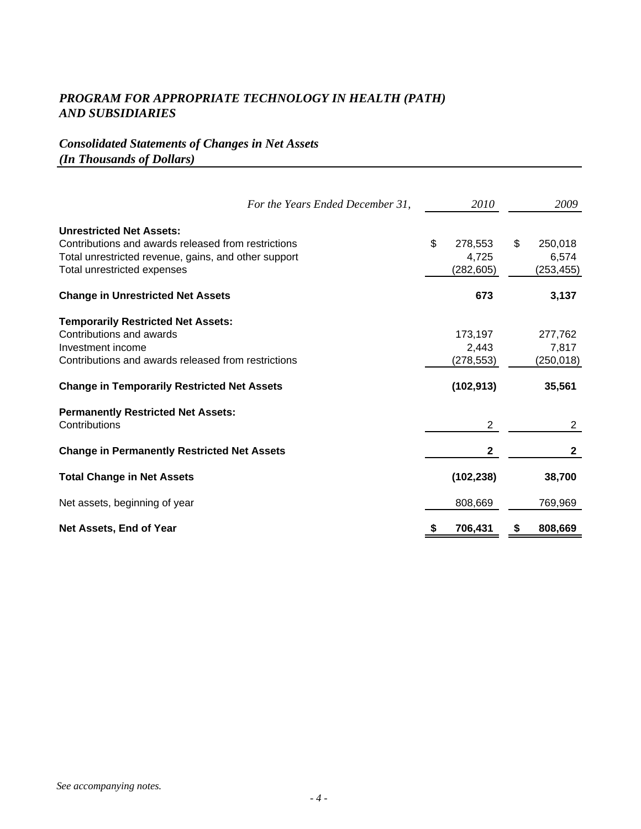# *Consolidated Statements of Changes in Net Assets (In Thousands of Dollars)*

| For the Years Ended December 31,                                                                                                                                                                        | <i>2010</i>                                 | 2009                                     |
|---------------------------------------------------------------------------------------------------------------------------------------------------------------------------------------------------------|---------------------------------------------|------------------------------------------|
| <b>Unrestricted Net Assets:</b><br>Contributions and awards released from restrictions<br>Total unrestricted revenue, gains, and other support<br>Total unrestricted expenses                           | \$<br>278,553<br>4,725<br>(282, 605)        | \$<br>250,018<br>6,574<br>(253, 455)     |
| <b>Change in Unrestricted Net Assets</b>                                                                                                                                                                | 673                                         | 3,137                                    |
| <b>Temporarily Restricted Net Assets:</b><br>Contributions and awards<br>Investment income<br>Contributions and awards released from restrictions<br><b>Change in Temporarily Restricted Net Assets</b> | 173,197<br>2,443<br>(278,553)<br>(102, 913) | 277,762<br>7,817<br>(250, 018)<br>35,561 |
| <b>Permanently Restricted Net Assets:</b><br>Contributions                                                                                                                                              | 2                                           | 2                                        |
| <b>Change in Permanently Restricted Net Assets</b>                                                                                                                                                      | $\mathbf{2}$                                | $\mathbf{2}$                             |
| <b>Total Change in Net Assets</b>                                                                                                                                                                       | (102, 238)                                  | 38,700                                   |
| Net assets, beginning of year                                                                                                                                                                           | 808,669                                     | 769,969                                  |
| Net Assets, End of Year                                                                                                                                                                                 | 706,431                                     | 808,669                                  |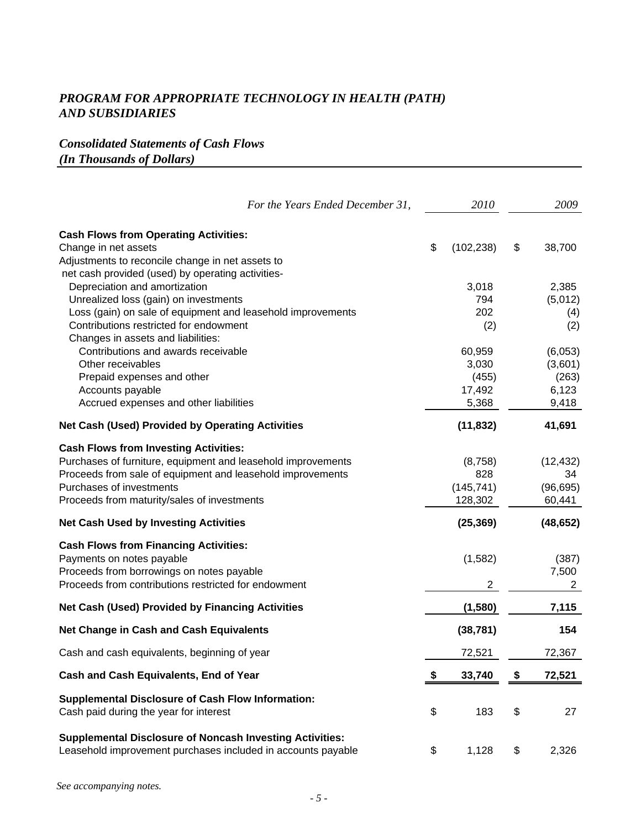# *Consolidated Statements of Cash Flows (In Thousands of Dollars)*

| For the Years Ended December 31,                                                                                                                                                                                                                                                                                                                                                                                                   | 2010                                                                      | 2009                                                                            |
|------------------------------------------------------------------------------------------------------------------------------------------------------------------------------------------------------------------------------------------------------------------------------------------------------------------------------------------------------------------------------------------------------------------------------------|---------------------------------------------------------------------------|---------------------------------------------------------------------------------|
| <b>Cash Flows from Operating Activities:</b><br>Change in net assets<br>Adjustments to reconcile change in net assets to                                                                                                                                                                                                                                                                                                           | \$<br>(102, 238)                                                          | \$<br>38,700                                                                    |
| net cash provided (used) by operating activities-<br>Depreciation and amortization<br>Unrealized loss (gain) on investments<br>Loss (gain) on sale of equipment and leasehold improvements<br>Contributions restricted for endowment<br>Changes in assets and liabilities:<br>Contributions and awards receivable<br>Other receivables<br>Prepaid expenses and other<br>Accounts payable<br>Accrued expenses and other liabilities | 3,018<br>794<br>202<br>(2)<br>60,959<br>3,030<br>(455)<br>17,492<br>5,368 | 2,385<br>(5,012)<br>(4)<br>(2)<br>(6,053)<br>(3,601)<br>(263)<br>6,123<br>9,418 |
| <b>Net Cash (Used) Provided by Operating Activities</b>                                                                                                                                                                                                                                                                                                                                                                            | (11, 832)                                                                 | 41,691                                                                          |
| <b>Cash Flows from Investing Activities:</b><br>Purchases of furniture, equipment and leasehold improvements<br>Proceeds from sale of equipment and leasehold improvements<br>Purchases of investments<br>Proceeds from maturity/sales of investments                                                                                                                                                                              | (8,758)<br>828<br>(145, 741)<br>128,302                                   | (12, 432)<br>34<br>(96, 695)<br>60,441                                          |
| <b>Net Cash Used by Investing Activities</b>                                                                                                                                                                                                                                                                                                                                                                                       | (25, 369)                                                                 | (48, 652)                                                                       |
| <b>Cash Flows from Financing Activities:</b><br>Payments on notes payable<br>Proceeds from borrowings on notes payable<br>Proceeds from contributions restricted for endowment                                                                                                                                                                                                                                                     | (1, 582)<br>2                                                             | (387)<br>7,500<br>2                                                             |
| <b>Net Cash (Used) Provided by Financing Activities</b>                                                                                                                                                                                                                                                                                                                                                                            | (1,580)                                                                   | 7,115                                                                           |
| <b>Net Change in Cash and Cash Equivalents</b>                                                                                                                                                                                                                                                                                                                                                                                     | (38, 781)                                                                 | 154                                                                             |
| Cash and cash equivalents, beginning of year                                                                                                                                                                                                                                                                                                                                                                                       | 72,521                                                                    | 72,367                                                                          |
| Cash and Cash Equivalents, End of Year                                                                                                                                                                                                                                                                                                                                                                                             | 33,740                                                                    | 72,521                                                                          |
| <b>Supplemental Disclosure of Cash Flow Information:</b><br>Cash paid during the year for interest                                                                                                                                                                                                                                                                                                                                 | \$<br>183                                                                 | \$<br>27                                                                        |
| <b>Supplemental Disclosure of Noncash Investing Activities:</b><br>Leasehold improvement purchases included in accounts payable                                                                                                                                                                                                                                                                                                    | \$<br>1,128                                                               | \$<br>2,326                                                                     |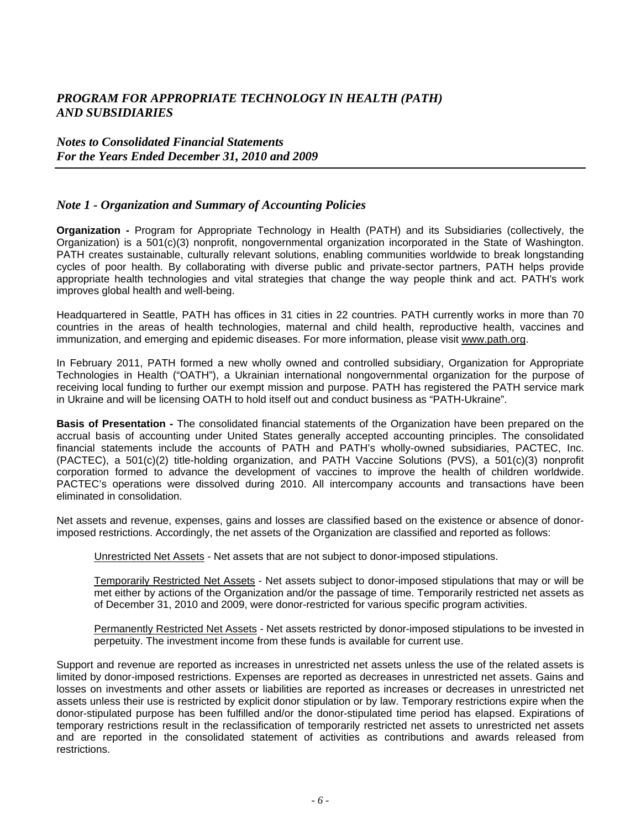#### *Notes to Consolidated Financial Statements For the Years Ended December 31, 2010 and 2009*

#### *Note 1 - Organization and Summary of Accounting Policies*

**Organization -** Program for Appropriate Technology in Health (PATH) and its Subsidiaries (collectively, the Organization) is a 501(c)(3) nonprofit, nongovernmental organization incorporated in the State of Washington. PATH creates sustainable, culturally relevant solutions, enabling communities worldwide to break longstanding cycles of poor health. By collaborating with diverse public and private-sector partners, PATH helps provide appropriate health technologies and vital strategies that change the way people think and act. PATH's work improves global health and well-being.

Headquartered in Seattle, PATH has offices in 31 cities in 22 countries. PATH currently works in more than 70 countries in the areas of health technologies, maternal and child health, reproductive health, vaccines and immunization, and emerging and epidemic diseases. For more information, please visit www.path.org.

In February 2011, PATH formed a new wholly owned and controlled subsidiary, Organization for Appropriate Technologies in Health ("OATH"), a Ukrainian international nongovernmental organization for the purpose of receiving local funding to further our exempt mission and purpose. PATH has registered the PATH service mark in Ukraine and will be licensing OATH to hold itself out and conduct business as "PATH-Ukraine".

**Basis of Presentation -** The consolidated financial statements of the Organization have been prepared on the accrual basis of accounting under United States generally accepted accounting principles. The consolidated financial statements include the accounts of PATH and PATH's wholly-owned subsidiaries, PACTEC, Inc. (PACTEC), a 501(c)(2) title-holding organization, and PATH Vaccine Solutions (PVS), a 501(c)(3) nonprofit corporation formed to advance the development of vaccines to improve the health of children worldwide. PACTEC's operations were dissolved during 2010. All intercompany accounts and transactions have been eliminated in consolidation.

Net assets and revenue, expenses, gains and losses are classified based on the existence or absence of donorimposed restrictions. Accordingly, the net assets of the Organization are classified and reported as follows:

Unrestricted Net Assets - Net assets that are not subject to donor-imposed stipulations.

Temporarily Restricted Net Assets - Net assets subject to donor-imposed stipulations that may or will be met either by actions of the Organization and/or the passage of time. Temporarily restricted net assets as of December 31, 2010 and 2009, were donor-restricted for various specific program activities.

Permanently Restricted Net Assets - Net assets restricted by donor-imposed stipulations to be invested in perpetuity. The investment income from these funds is available for current use.

Support and revenue are reported as increases in unrestricted net assets unless the use of the related assets is limited by donor-imposed restrictions. Expenses are reported as decreases in unrestricted net assets. Gains and losses on investments and other assets or liabilities are reported as increases or decreases in unrestricted net assets unless their use is restricted by explicit donor stipulation or by law. Temporary restrictions expire when the donor-stipulated purpose has been fulfilled and/or the donor-stipulated time period has elapsed. Expirations of temporary restrictions result in the reclassification of temporarily restricted net assets to unrestricted net assets and are reported in the consolidated statement of activities as contributions and awards released from restrictions.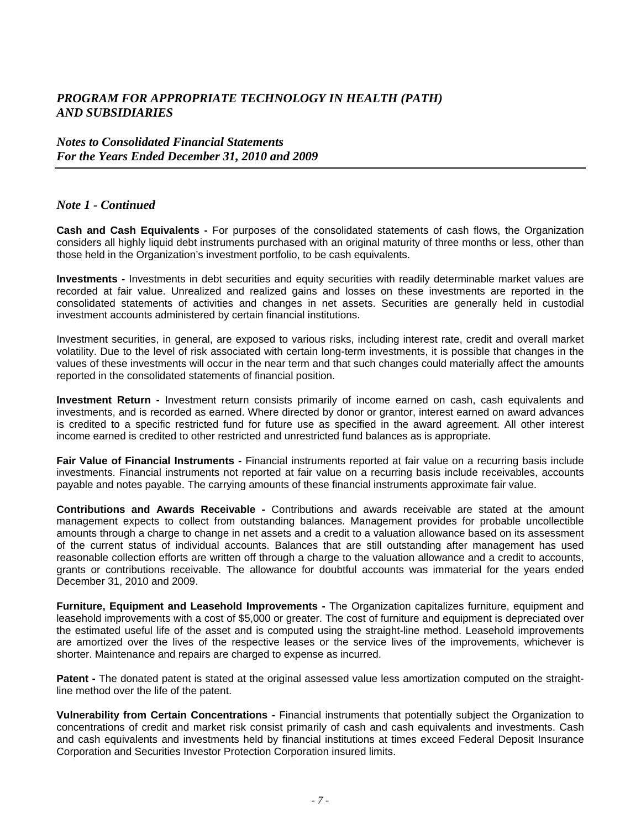#### *Notes to Consolidated Financial Statements For the Years Ended December 31, 2010 and 2009*

#### *Note 1 - Continued*

**Cash and Cash Equivalents -** For purposes of the consolidated statements of cash flows, the Organization considers all highly liquid debt instruments purchased with an original maturity of three months or less, other than those held in the Organization's investment portfolio, to be cash equivalents.

**Investments -** Investments in debt securities and equity securities with readily determinable market values are recorded at fair value. Unrealized and realized gains and losses on these investments are reported in the consolidated statements of activities and changes in net assets. Securities are generally held in custodial investment accounts administered by certain financial institutions.

Investment securities, in general, are exposed to various risks, including interest rate, credit and overall market volatility. Due to the level of risk associated with certain long-term investments, it is possible that changes in the values of these investments will occur in the near term and that such changes could materially affect the amounts reported in the consolidated statements of financial position.

**Investment Return -** Investment return consists primarily of income earned on cash, cash equivalents and investments, and is recorded as earned. Where directed by donor or grantor, interest earned on award advances is credited to a specific restricted fund for future use as specified in the award agreement. All other interest income earned is credited to other restricted and unrestricted fund balances as is appropriate.

**Fair Value of Financial Instruments -** Financial instruments reported at fair value on a recurring basis include investments. Financial instruments not reported at fair value on a recurring basis include receivables, accounts payable and notes payable. The carrying amounts of these financial instruments approximate fair value.

**Contributions and Awards Receivable -** Contributions and awards receivable are stated at the amount management expects to collect from outstanding balances. Management provides for probable uncollectible amounts through a charge to change in net assets and a credit to a valuation allowance based on its assessment of the current status of individual accounts. Balances that are still outstanding after management has used reasonable collection efforts are written off through a charge to the valuation allowance and a credit to accounts, grants or contributions receivable. The allowance for doubtful accounts was immaterial for the years ended December 31, 2010 and 2009.

**Furniture, Equipment and Leasehold Improvements -** The Organization capitalizes furniture, equipment and leasehold improvements with a cost of \$5,000 or greater. The cost of furniture and equipment is depreciated over the estimated useful life of the asset and is computed using the straight-line method. Leasehold improvements are amortized over the lives of the respective leases or the service lives of the improvements, whichever is shorter. Maintenance and repairs are charged to expense as incurred.

**Patent -** The donated patent is stated at the original assessed value less amortization computed on the straightline method over the life of the patent.

**Vulnerability from Certain Concentrations -** Financial instruments that potentially subject the Organization to concentrations of credit and market risk consist primarily of cash and cash equivalents and investments. Cash and cash equivalents and investments held by financial institutions at times exceed Federal Deposit Insurance Corporation and Securities Investor Protection Corporation insured limits.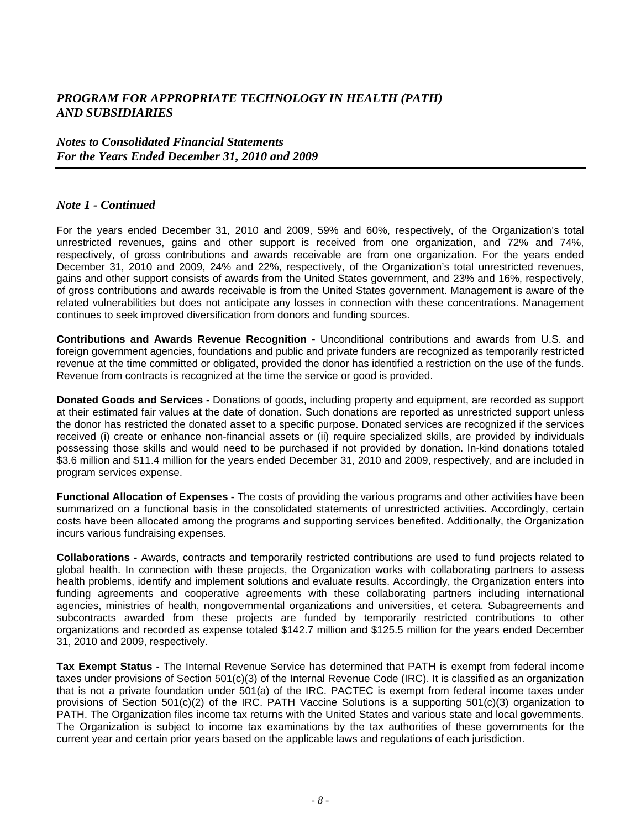#### *Notes to Consolidated Financial Statements For the Years Ended December 31, 2010 and 2009*

#### *Note 1 - Continued*

For the years ended December 31, 2010 and 2009, 59% and 60%, respectively, of the Organization's total unrestricted revenues, gains and other support is received from one organization, and 72% and 74%, respectively, of gross contributions and awards receivable are from one organization. For the years ended December 31, 2010 and 2009, 24% and 22%, respectively, of the Organization's total unrestricted revenues, gains and other support consists of awards from the United States government, and 23% and 16%, respectively, of gross contributions and awards receivable is from the United States government. Management is aware of the related vulnerabilities but does not anticipate any losses in connection with these concentrations. Management continues to seek improved diversification from donors and funding sources.

**Contributions and Awards Revenue Recognition -** Unconditional contributions and awards from U.S. and foreign government agencies, foundations and public and private funders are recognized as temporarily restricted revenue at the time committed or obligated, provided the donor has identified a restriction on the use of the funds. Revenue from contracts is recognized at the time the service or good is provided.

**Donated Goods and Services -** Donations of goods, including property and equipment, are recorded as support at their estimated fair values at the date of donation. Such donations are reported as unrestricted support unless the donor has restricted the donated asset to a specific purpose. Donated services are recognized if the services received (i) create or enhance non-financial assets or (ii) require specialized skills, are provided by individuals possessing those skills and would need to be purchased if not provided by donation. In-kind donations totaled \$3.6 million and \$11.4 million for the years ended December 31, 2010 and 2009, respectively, and are included in program services expense.

**Functional Allocation of Expenses -** The costs of providing the various programs and other activities have been summarized on a functional basis in the consolidated statements of unrestricted activities. Accordingly, certain costs have been allocated among the programs and supporting services benefited. Additionally, the Organization incurs various fundraising expenses.

**Collaborations -** Awards, contracts and temporarily restricted contributions are used to fund projects related to global health. In connection with these projects, the Organization works with collaborating partners to assess health problems, identify and implement solutions and evaluate results. Accordingly, the Organization enters into funding agreements and cooperative agreements with these collaborating partners including international agencies, ministries of health, nongovernmental organizations and universities, et cetera. Subagreements and subcontracts awarded from these projects are funded by temporarily restricted contributions to other organizations and recorded as expense totaled \$142.7 million and \$125.5 million for the years ended December 31, 2010 and 2009, respectively.

**Tax Exempt Status -** The Internal Revenue Service has determined that PATH is exempt from federal income taxes under provisions of Section 501(c)(3) of the Internal Revenue Code (IRC). It is classified as an organization that is not a private foundation under 501(a) of the IRC. PACTEC is exempt from federal income taxes under provisions of Section 501(c)(2) of the IRC. PATH Vaccine Solutions is a supporting 501(c)(3) organization to PATH. The Organization files income tax returns with the United States and various state and local governments. The Organization is subject to income tax examinations by the tax authorities of these governments for the current year and certain prior years based on the applicable laws and regulations of each jurisdiction.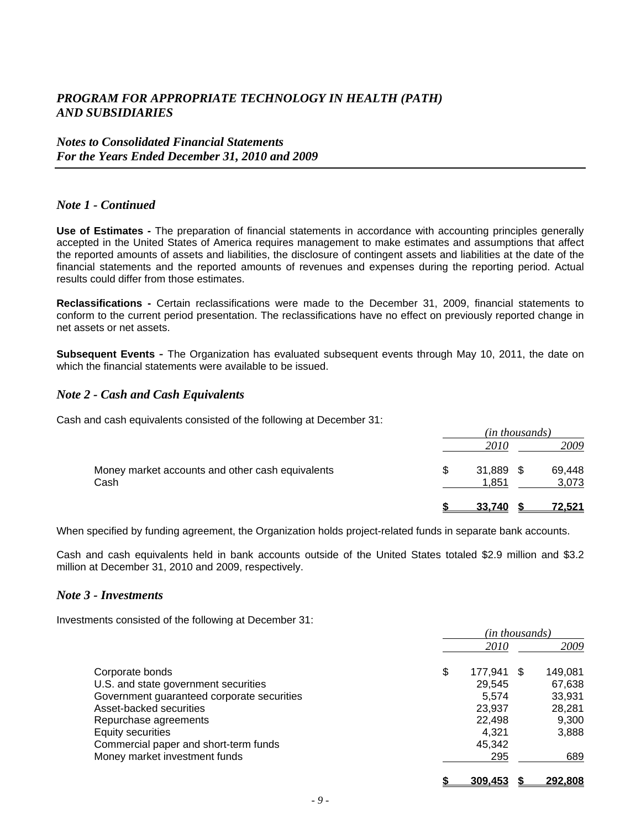#### *Notes to Consolidated Financial Statements For the Years Ended December 31, 2010 and 2009*

#### *Note 1 - Continued*

**Use of Estimates -** The preparation of financial statements in accordance with accounting principles generally accepted in the United States of America requires management to make estimates and assumptions that affect the reported amounts of assets and liabilities, the disclosure of contingent assets and liabilities at the date of the financial statements and the reported amounts of revenues and expenses during the reporting period. Actual results could differ from those estimates.

**Reclassifications -** Certain reclassifications were made to the December 31, 2009, financial statements to conform to the current period presentation. The reclassifications have no effect on previously reported change in net assets or net assets.

**Subsequent Events** *-* The Organization has evaluated subsequent events through May 10, 2011, the date on which the financial statements were available to be issued.

#### *Note 2 - Cash and Cash Equivalents*

Cash and cash equivalents consisted of the following at December 31:

|                                                          | (in thousands) |                      |  |                 |
|----------------------------------------------------------|----------------|----------------------|--|-----------------|
|                                                          |                | 2010                 |  | 2009            |
| Money market accounts and other cash equivalents<br>Cash |                | $31,889$ \$<br>1.851 |  | 69,448<br>3,073 |
|                                                          |                | 33.740               |  | <u>72.521</u>   |

When specified by funding agreement, the Organization holds project-related funds in separate bank accounts.

Cash and cash equivalents held in bank accounts outside of the United States totaled \$2.9 million and \$3.2 million at December 31, 2010 and 2009, respectively.

#### *Note 3 - Investments*

Investments consisted of the following at December 31:

|                                            | (in thousands) |             |    |         |  |
|--------------------------------------------|----------------|-------------|----|---------|--|
|                                            |                | <i>2010</i> |    | 2009    |  |
| Corporate bonds                            | \$             | 177.941     | -S | 149.081 |  |
| U.S. and state government securities       |                | 29.545      |    | 67,638  |  |
| Government guaranteed corporate securities |                | 5.574       |    | 33,931  |  |
| Asset-backed securities                    |                | 23,937      |    | 28,281  |  |
| Repurchase agreements                      |                | 22.498      |    | 9,300   |  |
| <b>Equity securities</b>                   |                | 4.321       |    | 3,888   |  |
| Commercial paper and short-term funds      |                | 45,342      |    |         |  |
| Money market investment funds              |                | 295         |    | 689     |  |
|                                            |                | 309.453     |    | 292.808 |  |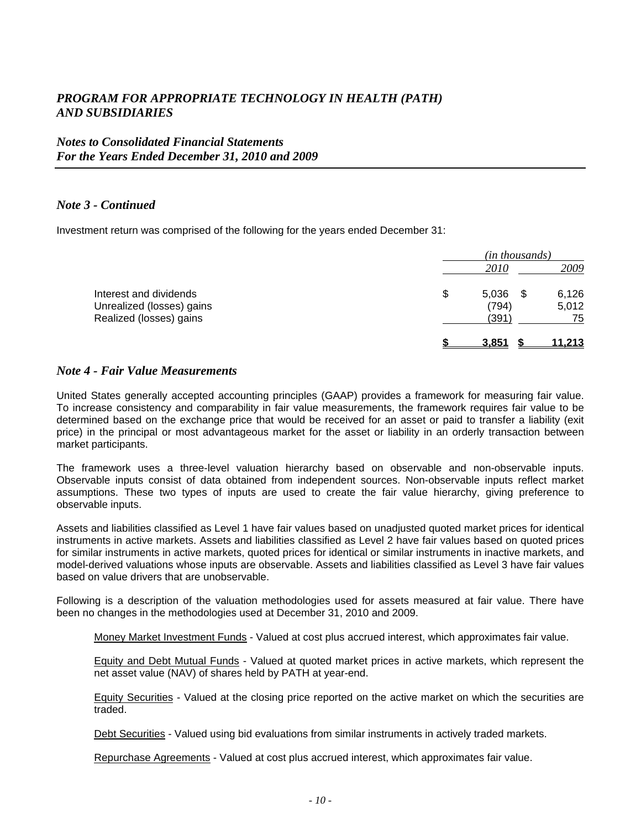### *Notes to Consolidated Financial Statements For the Years Ended December 31, 2010 and 2009*

#### *Note 3 - Continued*

Investment return was comprised of the following for the years ended December 31:

|                                                                                | (in thousands)                |  |                      |  |
|--------------------------------------------------------------------------------|-------------------------------|--|----------------------|--|
|                                                                                | 2010                          |  | 2009                 |  |
| Interest and dividends<br>Unrealized (losses) gains<br>Realized (losses) gains | \$<br>5,036<br>(794)<br>(391) |  | 6,126<br>5,012<br>75 |  |
|                                                                                | 3.851                         |  | <u>11.213</u>        |  |

#### *Note 4 - Fair Value Measurements*

United States generally accepted accounting principles (GAAP) provides a framework for measuring fair value. To increase consistency and comparability in fair value measurements, the framework requires fair value to be determined based on the exchange price that would be received for an asset or paid to transfer a liability (exit price) in the principal or most advantageous market for the asset or liability in an orderly transaction between market participants.

The framework uses a three-level valuation hierarchy based on observable and non-observable inputs. Observable inputs consist of data obtained from independent sources. Non-observable inputs reflect market assumptions. These two types of inputs are used to create the fair value hierarchy, giving preference to observable inputs.

Assets and liabilities classified as Level 1 have fair values based on unadjusted quoted market prices for identical instruments in active markets. Assets and liabilities classified as Level 2 have fair values based on quoted prices for similar instruments in active markets, quoted prices for identical or similar instruments in inactive markets, and model-derived valuations whose inputs are observable. Assets and liabilities classified as Level 3 have fair values based on value drivers that are unobservable.

Following is a description of the valuation methodologies used for assets measured at fair value. There have been no changes in the methodologies used at December 31, 2010 and 2009.

Money Market Investment Funds - Valued at cost plus accrued interest, which approximates fair value.

Equity and Debt Mutual Funds - Valued at quoted market prices in active markets, which represent the net asset value (NAV) of shares held by PATH at year-end.

Equity Securities - Valued at the closing price reported on the active market on which the securities are traded.

Debt Securities - Valued using bid evaluations from similar instruments in actively traded markets.

Repurchase Agreements - Valued at cost plus accrued interest, which approximates fair value.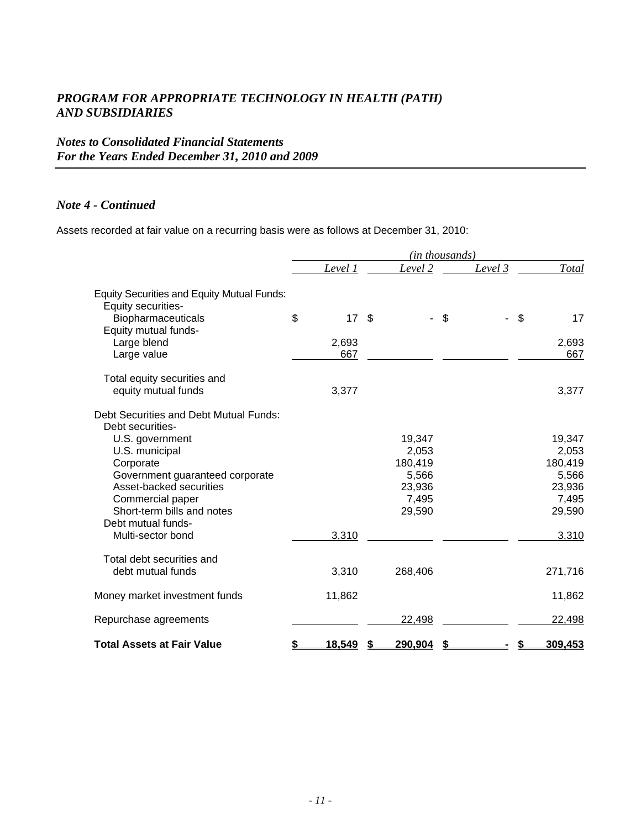### *Notes to Consolidated Financial Statements For the Years Ended December 31, 2010 and 2009*

#### *Note 4 - Continued*

Assets recorded at fair value on a recurring basis were as follows at December 31, 2010:

|                                                                         |              |      | (in thousands)   |          |    |                  |
|-------------------------------------------------------------------------|--------------|------|------------------|----------|----|------------------|
|                                                                         | Level 1      |      | Level 2          | Level 3  |    | <b>Total</b>     |
| <b>Equity Securities and Equity Mutual Funds:</b><br>Equity securities- |              |      |                  |          |    |                  |
| Biopharmaceuticals<br>Equity mutual funds-                              | \$<br>17     | - \$ |                  | \$<br>÷, | \$ | 17               |
| Large blend                                                             | 2,693        |      |                  |          |    | 2,693            |
| Large value                                                             | 667          |      |                  |          |    | 667              |
| Total equity securities and                                             |              |      |                  |          |    |                  |
| equity mutual funds                                                     | 3,377        |      |                  |          |    | 3,377            |
| Debt Securities and Debt Mutual Funds:                                  |              |      |                  |          |    |                  |
| Debt securities-                                                        |              |      |                  |          |    |                  |
| U.S. government                                                         |              |      | 19,347           |          |    | 19,347           |
| U.S. municipal                                                          |              |      | 2,053<br>180,419 |          |    | 2,053<br>180,419 |
| Corporate<br>Government guaranteed corporate                            |              |      | 5,566            |          |    | 5,566            |
| Asset-backed securities                                                 |              |      | 23,936           |          |    | 23,936           |
| Commercial paper                                                        |              |      | 7,495            |          |    | 7,495            |
| Short-term bills and notes                                              |              |      | 29,590           |          |    | 29,590           |
| Debt mutual funds-                                                      |              |      |                  |          |    |                  |
| Multi-sector bond                                                       | 3,310        |      |                  |          |    | 3,310            |
| Total debt securities and                                               |              |      |                  |          |    |                  |
| debt mutual funds                                                       | 3,310        |      | 268,406          |          |    | 271,716          |
| Money market investment funds                                           | 11,862       |      |                  |          |    | 11,862           |
| Repurchase agreements                                                   |              |      | 22,498           |          |    | 22,498           |
| <b>Total Assets at Fair Value</b>                                       | \$<br>18,549 |      | 290,904          |          | æ. | 309,453          |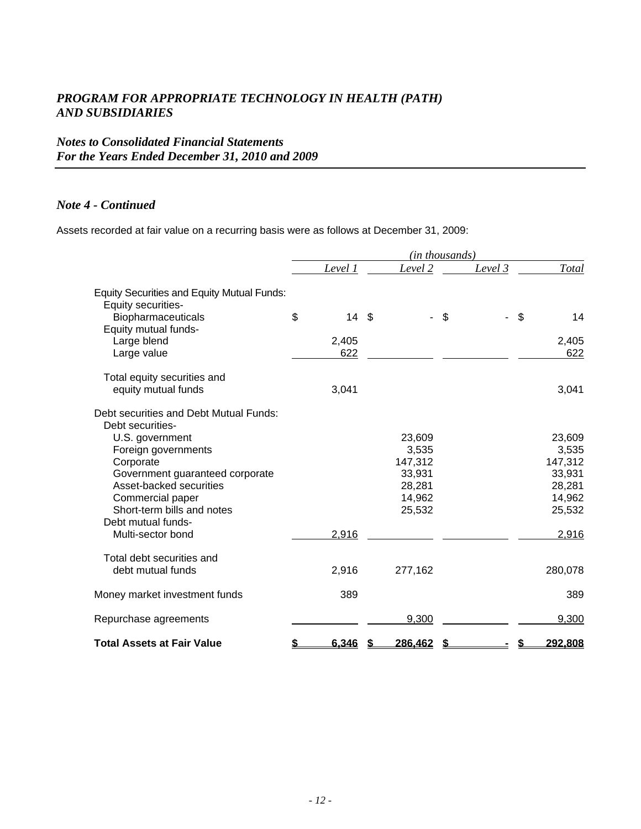### *Notes to Consolidated Financial Statements For the Years Ended December 31, 2010 and 2009*

### *Note 4 - Continued*

Assets recorded at fair value on a recurring basis were as follows at December 31, 2009:

|                                                                         |    |         | (in thousands) |          |    |              |
|-------------------------------------------------------------------------|----|---------|----------------|----------|----|--------------|
|                                                                         |    | Level 1 | Level 2        | Level 3  |    | <b>Total</b> |
| <b>Equity Securities and Equity Mutual Funds:</b><br>Equity securities- |    |         |                |          |    |              |
| Biopharmaceuticals                                                      | \$ | 14S     |                | \$<br>ä, | \$ | 14           |
| Equity mutual funds-                                                    |    |         |                |          |    |              |
| Large blend                                                             |    | 2,405   |                |          |    | 2,405        |
| Large value                                                             |    | 622     |                |          |    | 622          |
| Total equity securities and                                             |    |         |                |          |    |              |
| equity mutual funds                                                     |    | 3,041   |                |          |    | 3,041        |
| Debt securities and Debt Mutual Funds:                                  |    |         |                |          |    |              |
| Debt securities-                                                        |    |         |                |          |    |              |
| U.S. government                                                         |    |         | 23,609         |          |    | 23,609       |
| Foreign governments                                                     |    |         | 3,535          |          |    | 3,535        |
| Corporate                                                               |    |         | 147,312        |          |    | 147,312      |
| Government guaranteed corporate                                         |    |         | 33,931         |          |    | 33,931       |
| Asset-backed securities                                                 |    |         | 28,281         |          |    | 28,281       |
| Commercial paper                                                        |    |         | 14,962         |          |    | 14,962       |
| Short-term bills and notes                                              |    |         | 25,532         |          |    | 25,532       |
| Debt mutual funds-                                                      |    |         |                |          |    |              |
| Multi-sector bond                                                       |    | 2,916   |                |          |    | 2,916        |
| Total debt securities and                                               |    |         |                |          |    |              |
| debt mutual funds                                                       |    | 2,916   | 277,162        |          |    | 280,078      |
| Money market investment funds                                           |    | 389     |                |          |    | 389          |
| Repurchase agreements                                                   |    |         | 9,300          |          |    | 9,300        |
| <b>Total Assets at Fair Value</b>                                       | S  | 6,346   | 286,462        |          | 5. | 292,808      |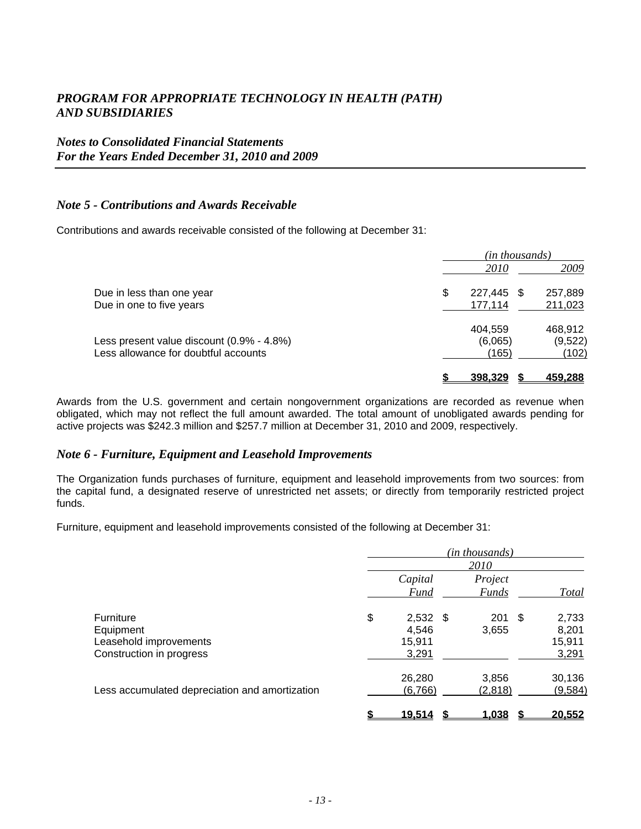### *Notes to Consolidated Financial Statements For the Years Ended December 31, 2010 and 2009*

#### *Note 5 - Contributions and Awards Receivable*

Contributions and awards receivable consisted of the following at December 31:

|                                           | (in thousands) |               |         |  |  |
|-------------------------------------------|----------------|---------------|---------|--|--|
|                                           |                | <i>2010</i>   | 2009    |  |  |
| Due in less than one year                 | \$             | 227,445<br>-S | 257,889 |  |  |
| Due in one to five years                  |                | 177,114       | 211,023 |  |  |
|                                           |                | 404.559       | 468.912 |  |  |
| Less present value discount (0.9% - 4.8%) |                | (6,065)       | (9,522) |  |  |
| Less allowance for doubtful accounts      |                | (165)         | (102)   |  |  |
|                                           |                | 398.329       | 459.288 |  |  |

Awards from the U.S. government and certain nongovernment organizations are recorded as revenue when obligated, which may not reflect the full amount awarded. The total amount of unobligated awards pending for active projects was \$242.3 million and \$257.7 million at December 31, 2010 and 2009, respectively.

#### *Note 6 - Furniture, Equipment and Leasehold Improvements*

The Organization funds purchases of furniture, equipment and leasehold improvements from two sources: from the capital fund, a designated reserve of unrestricted net assets; or directly from temporarily restricted project funds.

Furniture, equipment and leasehold improvements consisted of the following at December 31:

|                                                | (in thousands) |               |  |                  |  |          |
|------------------------------------------------|----------------|---------------|--|------------------|--|----------|
|                                                |                |               |  | 2010             |  |          |
|                                                |                | Capital       |  | Project          |  |          |
|                                                |                | Fund          |  | <b>Funds</b>     |  | Total    |
| <b>Furniture</b>                               | \$             | $2,532$ \$    |  | $201 \text{ } $$ |  | 2,733    |
| Equipment                                      |                | 4,546         |  | 3,655            |  | 8,201    |
| Leasehold improvements                         |                | 15,911        |  |                  |  | 15,911   |
| Construction in progress                       |                | 3,291         |  |                  |  | 3,291    |
|                                                |                | 26,280        |  | 3,856            |  | 30,136   |
| Less accumulated depreciation and amortization |                | (6,766)       |  | (2,818)          |  | (9, 584) |
|                                                |                | <u>19,514</u> |  | 1,038            |  | 20,552   |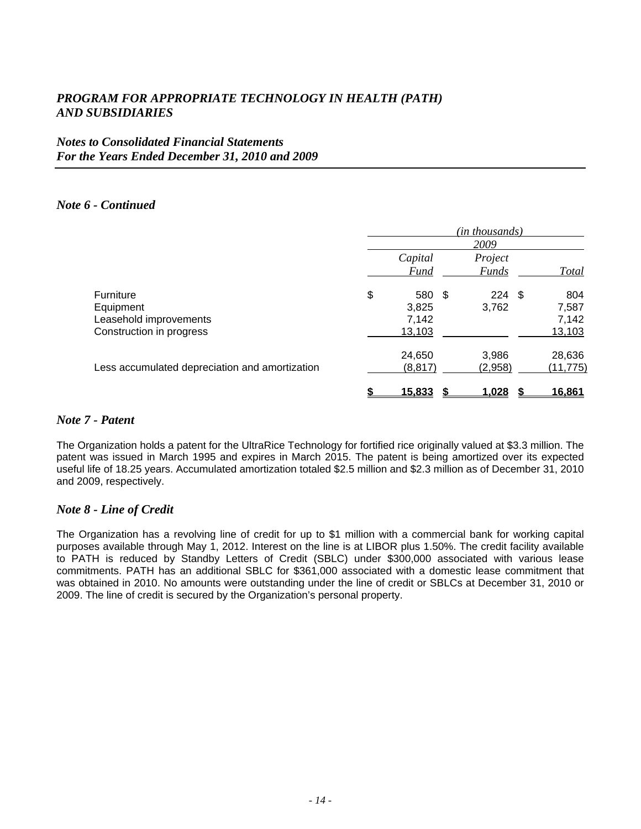### *Notes to Consolidated Financial Statements For the Years Ended December 31, 2010 and 2009*

#### *Note 6 - Continued*

|                                                | (in thousands) |             |      |                  |  |                |
|------------------------------------------------|----------------|-------------|------|------------------|--|----------------|
|                                                | 2009           |             |      |                  |  |                |
|                                                |                | Capital     |      | Project          |  |                |
|                                                |                | <b>Fund</b> |      | <b>Funds</b>     |  | Total          |
| Furniture                                      | \$             | 580         | - \$ | $224 \text{ } $$ |  | 804            |
| Equipment                                      |                | 3,825       |      | 3,762            |  | 7,587          |
| Leasehold improvements                         |                | 7,142       |      |                  |  | 7,142          |
| Construction in progress                       |                | 13,103      |      |                  |  | 13,103         |
|                                                |                | 24,650      |      | 3,986            |  | 28,636         |
| Less accumulated depreciation and amortization |                | (8, 817)    |      | (2,958)          |  | (11, 775)      |
|                                                |                | 15,833      |      | 1,028            |  | <u> 16.861</u> |

#### *Note 7 - Patent*

The Organization holds a patent for the UltraRice Technology for fortified rice originally valued at \$3.3 million. The patent was issued in March 1995 and expires in March 2015. The patent is being amortized over its expected useful life of 18.25 years. Accumulated amortization totaled \$2.5 million and \$2.3 million as of December 31, 2010 and 2009, respectively.

#### *Note 8 - Line of Credit*

The Organization has a revolving line of credit for up to \$1 million with a commercial bank for working capital purposes available through May 1, 2012. Interest on the line is at LIBOR plus 1.50%. The credit facility available to PATH is reduced by Standby Letters of Credit (SBLC) under \$300,000 associated with various lease commitments. PATH has an additional SBLC for \$361,000 associated with a domestic lease commitment that was obtained in 2010. No amounts were outstanding under the line of credit or SBLCs at December 31, 2010 or 2009. The line of credit is secured by the Organization's personal property.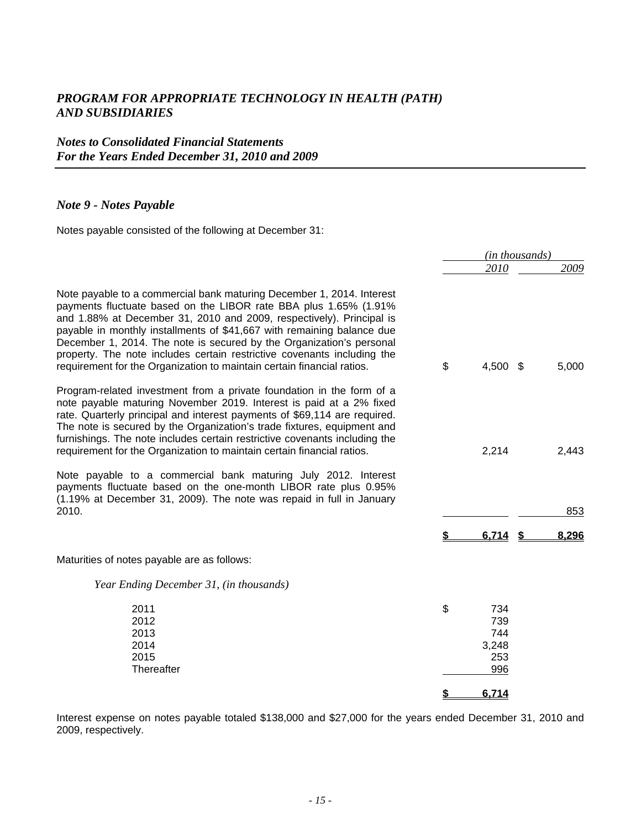### *Notes to Consolidated Financial Statements For the Years Ended December 31, 2010 and 2009*

### *Note 9 - Notes Payable*

Notes payable consisted of the following at December 31:

|                                                                                                                                                                                                                                                                                                                                                                                                                                                                                                                          | (in thousands) |                   |  |       |
|--------------------------------------------------------------------------------------------------------------------------------------------------------------------------------------------------------------------------------------------------------------------------------------------------------------------------------------------------------------------------------------------------------------------------------------------------------------------------------------------------------------------------|----------------|-------------------|--|-------|
|                                                                                                                                                                                                                                                                                                                                                                                                                                                                                                                          |                | 2010              |  | 2009  |
| Note payable to a commercial bank maturing December 1, 2014. Interest<br>payments fluctuate based on the LIBOR rate BBA plus 1.65% (1.91%<br>and 1.88% at December 31, 2010 and 2009, respectively). Principal is<br>payable in monthly installments of \$41,667 with remaining balance due<br>December 1, 2014. The note is secured by the Organization's personal<br>property. The note includes certain restrictive covenants including the<br>requirement for the Organization to maintain certain financial ratios. | \$             | 4,500 \$          |  | 5,000 |
| Program-related investment from a private foundation in the form of a<br>note payable maturing November 2019. Interest is paid at a 2% fixed<br>rate. Quarterly principal and interest payments of \$69,114 are required.<br>The note is secured by the Organization's trade fixtures, equipment and<br>furnishings. The note includes certain restrictive covenants including the                                                                                                                                       |                |                   |  |       |
| requirement for the Organization to maintain certain financial ratios.                                                                                                                                                                                                                                                                                                                                                                                                                                                   |                | 2,214             |  | 2,443 |
| Note payable to a commercial bank maturing July 2012. Interest<br>payments fluctuate based on the one-month LIBOR rate plus 0.95%<br>(1.19% at December 31, 2009). The note was repaid in full in January                                                                                                                                                                                                                                                                                                                |                |                   |  |       |
| 2010.                                                                                                                                                                                                                                                                                                                                                                                                                                                                                                                    |                |                   |  | 853   |
|                                                                                                                                                                                                                                                                                                                                                                                                                                                                                                                          |                | 6.714             |  | 8.296 |
| Maturities of notes payable are as follows:                                                                                                                                                                                                                                                                                                                                                                                                                                                                              |                |                   |  |       |
| Year Ending December 31, (in thousands)                                                                                                                                                                                                                                                                                                                                                                                                                                                                                  |                |                   |  |       |
| 2011<br>2012<br>2013                                                                                                                                                                                                                                                                                                                                                                                                                                                                                                     | \$             | 734<br>739<br>744 |  |       |
| 2014                                                                                                                                                                                                                                                                                                                                                                                                                                                                                                                     |                | 3,248             |  |       |
| 2015<br>Thereafter                                                                                                                                                                                                                                                                                                                                                                                                                                                                                                       |                | 253<br>996        |  |       |
|                                                                                                                                                                                                                                                                                                                                                                                                                                                                                                                          |                |                   |  |       |
|                                                                                                                                                                                                                                                                                                                                                                                                                                                                                                                          |                | 6,714             |  |       |

Interest expense on notes payable totaled \$138,000 and \$27,000 for the years ended December 31, 2010 and 2009, respectively.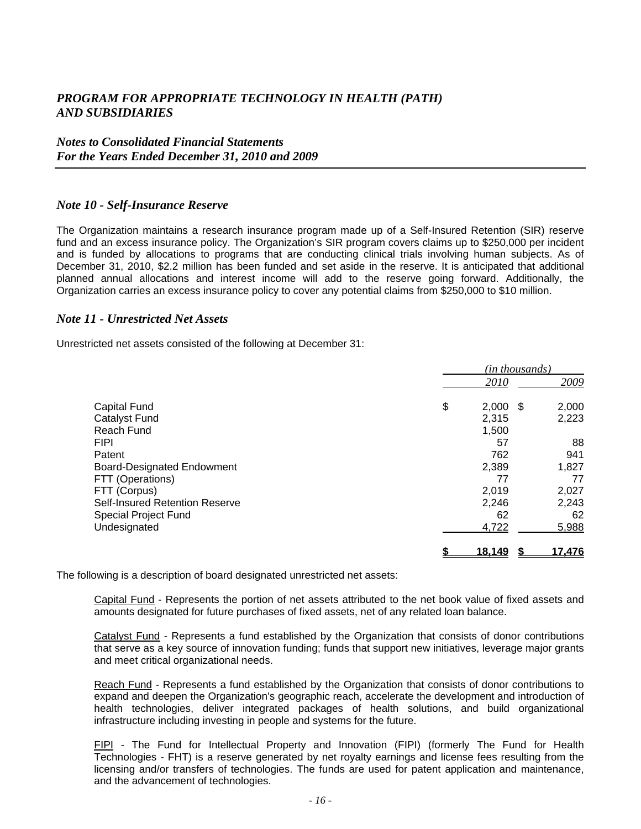### *Notes to Consolidated Financial Statements For the Years Ended December 31, 2010 and 2009*

#### *Note 10 - Self-Insurance Reserve*

The Organization maintains a research insurance program made up of a Self-Insured Retention (SIR) reserve fund and an excess insurance policy. The Organization's SIR program covers claims up to \$250,000 per incident and is funded by allocations to programs that are conducting clinical trials involving human subjects. As of December 31, 2010, \$2.2 million has been funded and set aside in the reserve. It is anticipated that additional planned annual allocations and interest income will add to the reserve going forward. Additionally, the Organization carries an excess insurance policy to cover any potential claims from \$250,000 to \$10 million.

#### *Note 11 - Unrestricted Net Assets*

Unrestricted net assets consisted of the following at December 31:

|                                   | (in thousands) |               |      |        |
|-----------------------------------|----------------|---------------|------|--------|
|                                   |                | 2010          |      | 2009   |
| <b>Capital Fund</b>               | \$             | 2,000         | - \$ | 2,000  |
| <b>Catalyst Fund</b>              |                | 2,315         |      | 2,223  |
| Reach Fund                        |                | 1,500         |      |        |
| <b>FIPI</b>                       |                | 57            |      | 88     |
| Patent                            |                | 762           |      | 941    |
| <b>Board-Designated Endowment</b> |                | 2,389         |      | 1,827  |
| FTT (Operations)                  |                | 77            |      | 77     |
| FTT (Corpus)                      |                | 2,019         |      | 2,027  |
| Self-Insured Retention Reserve    |                | 2,246         |      | 2,243  |
| <b>Special Project Fund</b>       |                | 62            |      | 62     |
| Undesignated                      |                | 4,722         |      | 5,988  |
|                                   |                | <u>18.149</u> |      | 17.476 |

The following is a description of board designated unrestricted net assets:

Capital Fund - Represents the portion of net assets attributed to the net book value of fixed assets and amounts designated for future purchases of fixed assets, net of any related loan balance.

Catalyst Fund - Represents a fund established by the Organization that consists of donor contributions that serve as a key source of innovation funding; funds that support new initiatives, leverage major grants and meet critical organizational needs.

Reach Fund - Represents a fund established by the Organization that consists of donor contributions to expand and deepen the Organization's geographic reach, accelerate the development and introduction of health technologies, deliver integrated packages of health solutions, and build organizational infrastructure including investing in people and systems for the future.

FIPI - The Fund for Intellectual Property and Innovation (FIPI) (formerly The Fund for Health Technologies - FHT) is a reserve generated by net royalty earnings and license fees resulting from the licensing and/or transfers of technologies. The funds are used for patent application and maintenance, and the advancement of technologies.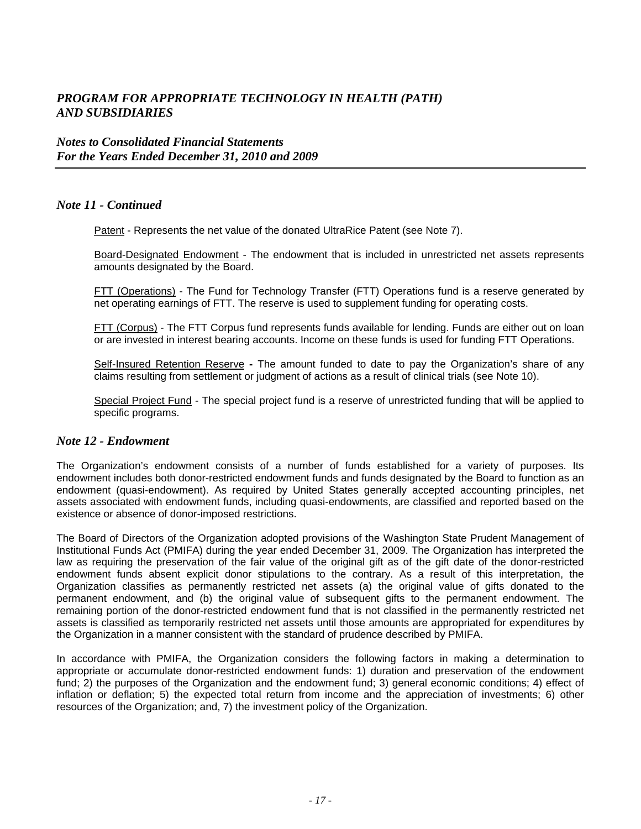### *Notes to Consolidated Financial Statements For the Years Ended December 31, 2010 and 2009*

#### *Note 11 - Continued*

Patent - Represents the net value of the donated UltraRice Patent (see Note 7).

Board-Designated Endowment - The endowment that is included in unrestricted net assets represents amounts designated by the Board.

FTT (Operations) - The Fund for Technology Transfer (FTT) Operations fund is a reserve generated by net operating earnings of FTT. The reserve is used to supplement funding for operating costs.

FTT (Corpus) - The FTT Corpus fund represents funds available for lending. Funds are either out on loan or are invested in interest bearing accounts. Income on these funds is used for funding FTT Operations.

Self-Insured Retention Reserve **-** The amount funded to date to pay the Organization's share of any claims resulting from settlement or judgment of actions as a result of clinical trials (see Note 10).

Special Project Fund - The special project fund is a reserve of unrestricted funding that will be applied to specific programs.

#### *Note 12 - Endowment*

The Organization's endowment consists of a number of funds established for a variety of purposes. Its endowment includes both donor-restricted endowment funds and funds designated by the Board to function as an endowment (quasi-endowment). As required by United States generally accepted accounting principles, net assets associated with endowment funds, including quasi-endowments, are classified and reported based on the existence or absence of donor-imposed restrictions.

The Board of Directors of the Organization adopted provisions of the Washington State Prudent Management of Institutional Funds Act (PMIFA) during the year ended December 31, 2009. The Organization has interpreted the law as requiring the preservation of the fair value of the original gift as of the gift date of the donor-restricted endowment funds absent explicit donor stipulations to the contrary. As a result of this interpretation, the Organization classifies as permanently restricted net assets (a) the original value of gifts donated to the permanent endowment, and (b) the original value of subsequent gifts to the permanent endowment. The remaining portion of the donor-restricted endowment fund that is not classified in the permanently restricted net assets is classified as temporarily restricted net assets until those amounts are appropriated for expenditures by the Organization in a manner consistent with the standard of prudence described by PMIFA.

In accordance with PMIFA, the Organization considers the following factors in making a determination to appropriate or accumulate donor-restricted endowment funds: 1) duration and preservation of the endowment fund; 2) the purposes of the Organization and the endowment fund; 3) general economic conditions; 4) effect of inflation or deflation; 5) the expected total return from income and the appreciation of investments; 6) other resources of the Organization; and, 7) the investment policy of the Organization.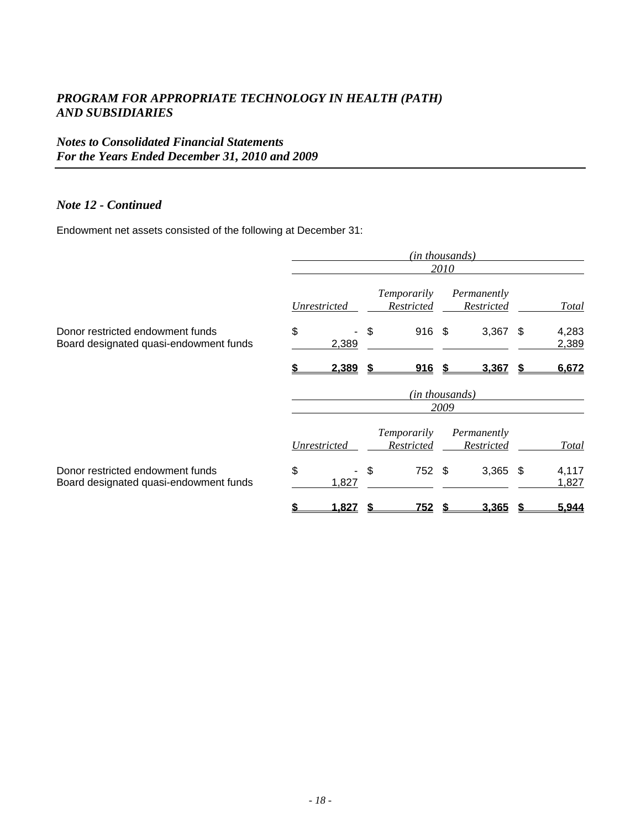# *Notes to Consolidated Financial Statements For the Years Ended December 31, 2010 and 2009*

#### *Note 12 - Continued*

Endowment net assets consisted of the following at December 31:

|                                                                            | (in thousands)<br>2010 |       |    |                                         |  |                           |      |                |
|----------------------------------------------------------------------------|------------------------|-------|----|-----------------------------------------|--|---------------------------|------|----------------|
|                                                                            |                        |       |    |                                         |  |                           |      |                |
|                                                                            | Unrestricted           |       |    | <i>Temporarily</i><br>Restricted        |  | Permanently<br>Restricted |      | Total          |
| Donor restricted endowment funds<br>Board designated quasi-endowment funds | \$                     | 2,389 | \$ | $916 \text{ } $$                        |  | 3,367                     | - \$ | 4,283<br>2,389 |
|                                                                            |                        | 2,389 |    | 916                                     |  | 3,367                     |      | 6,672          |
|                                                                            | (in thousands)         |       |    |                                         |  |                           |      |                |
|                                                                            | 2009                   |       |    |                                         |  |                           |      |                |
|                                                                            | Unrestricted           |       |    | <i>Temporarily</i><br><b>Restricted</b> |  | Permanently<br>Restricted |      | Total          |
|                                                                            |                        |       |    |                                         |  |                           |      |                |
| Donor restricted endowment funds<br>Board designated quasi-endowment funds | \$                     | 1,827 | \$ | 752 \$                                  |  | $3,365$ \$                |      | 4,117<br>1,827 |
|                                                                            |                        | 1,827 |    | 752                                     |  | 3,365                     |      | 5,944          |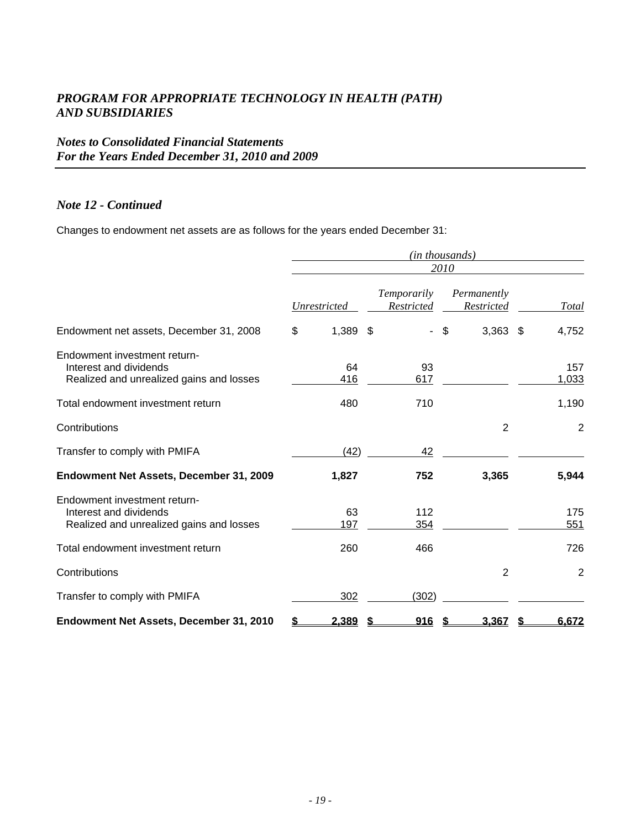# *Notes to Consolidated Financial Statements For the Years Ended December 31, 2010 and 2009*

#### *Note 12 - Continued*

Changes to endowment net assets are as follows for the years ended December 31:

|                                                                                                    | (in thousands)   |                           |                              |                |  |
|----------------------------------------------------------------------------------------------------|------------------|---------------------------|------------------------------|----------------|--|
|                                                                                                    | 2010             |                           |                              |                |  |
|                                                                                                    | Unrestricted     | Temporarily<br>Restricted | Permanently<br>Restricted    | <b>Total</b>   |  |
| Endowment net assets, December 31, 2008                                                            | $1,389$ \$<br>\$ | $\mathbf{r}$              | $\mathfrak{S}$<br>$3,363$ \$ | 4,752          |  |
| Endowment investment return-<br>Interest and dividends<br>Realized and unrealized gains and losses | 64<br>416        | 93<br>617                 |                              | 157<br>1,033   |  |
| Total endowment investment return                                                                  | 480              | 710                       |                              | 1,190          |  |
| Contributions                                                                                      |                  |                           | $\overline{2}$               | $\overline{2}$ |  |
| Transfer to comply with PMIFA                                                                      | (42)             | 42                        |                              |                |  |
| Endowment Net Assets, December 31, 2009                                                            | 1,827            | 752                       | 3,365                        | 5,944          |  |
| Endowment investment return-<br>Interest and dividends<br>Realized and unrealized gains and losses | 63<br>197        | 112<br>354                |                              | 175<br>551     |  |
| Total endowment investment return                                                                  | 260              | 466                       |                              | 726            |  |
| Contributions                                                                                      |                  |                           | $\overline{2}$               | $\overline{2}$ |  |
| Transfer to comply with PMIFA                                                                      | 302              | (302)                     |                              |                |  |
| Endowment Net Assets, December 31, 2010                                                            | 2,389            | 916                       | 3.367                        | 6,672          |  |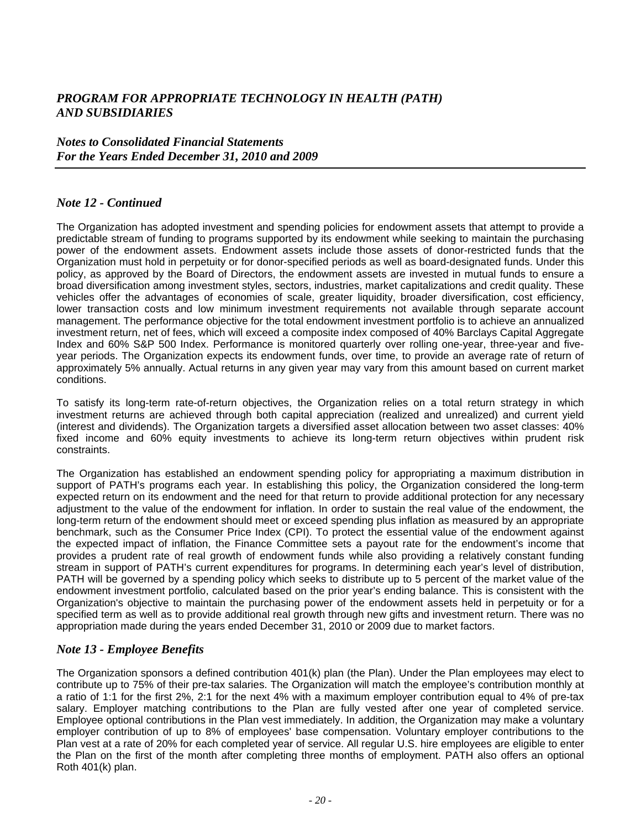#### *Notes to Consolidated Financial Statements For the Years Ended December 31, 2010 and 2009*

#### *Note 12 - Continued*

The Organization has adopted investment and spending policies for endowment assets that attempt to provide a predictable stream of funding to programs supported by its endowment while seeking to maintain the purchasing power of the endowment assets. Endowment assets include those assets of donor-restricted funds that the Organization must hold in perpetuity or for donor-specified periods as well as board-designated funds. Under this policy, as approved by the Board of Directors, the endowment assets are invested in mutual funds to ensure a broad diversification among investment styles, sectors, industries, market capitalizations and credit quality. These vehicles offer the advantages of economies of scale, greater liquidity, broader diversification, cost efficiency, lower transaction costs and low minimum investment requirements not available through separate account management. The performance objective for the total endowment investment portfolio is to achieve an annualized investment return, net of fees, which will exceed a composite index composed of 40% Barclays Capital Aggregate Index and 60% S&P 500 Index. Performance is monitored quarterly over rolling one-year, three-year and fiveyear periods. The Organization expects its endowment funds, over time, to provide an average rate of return of approximately 5% annually. Actual returns in any given year may vary from this amount based on current market conditions.

To satisfy its long-term rate-of-return objectives, the Organization relies on a total return strategy in which investment returns are achieved through both capital appreciation (realized and unrealized) and current yield (interest and dividends). The Organization targets a diversified asset allocation between two asset classes: 40% fixed income and 60% equity investments to achieve its long-term return objectives within prudent risk constraints.

The Organization has established an endowment spending policy for appropriating a maximum distribution in support of PATH's programs each year. In establishing this policy, the Organization considered the long-term expected return on its endowment and the need for that return to provide additional protection for any necessary adjustment to the value of the endowment for inflation. In order to sustain the real value of the endowment, the long-term return of the endowment should meet or exceed spending plus inflation as measured by an appropriate benchmark, such as the Consumer Price Index (CPI). To protect the essential value of the endowment against the expected impact of inflation, the Finance Committee sets a payout rate for the endowment's income that provides a prudent rate of real growth of endowment funds while also providing a relatively constant funding stream in support of PATH's current expenditures for programs. In determining each year's level of distribution, PATH will be governed by a spending policy which seeks to distribute up to 5 percent of the market value of the endowment investment portfolio, calculated based on the prior year's ending balance. This is consistent with the Organization's objective to maintain the purchasing power of the endowment assets held in perpetuity or for a specified term as well as to provide additional real growth through new gifts and investment return. There was no appropriation made during the years ended December 31, 2010 or 2009 due to market factors.

#### *Note 13 - Employee Benefits*

The Organization sponsors a defined contribution 401(k) plan (the Plan). Under the Plan employees may elect to contribute up to 75% of their pre-tax salaries. The Organization will match the employee's contribution monthly at a ratio of 1:1 for the first 2%, 2:1 for the next 4% with a maximum employer contribution equal to 4% of pre-tax salary. Employer matching contributions to the Plan are fully vested after one year of completed service. Employee optional contributions in the Plan vest immediately. In addition, the Organization may make a voluntary employer contribution of up to 8% of employees' base compensation. Voluntary employer contributions to the Plan vest at a rate of 20% for each completed year of service. All regular U.S. hire employees are eligible to enter the Plan on the first of the month after completing three months of employment. PATH also offers an optional Roth 401(k) plan.